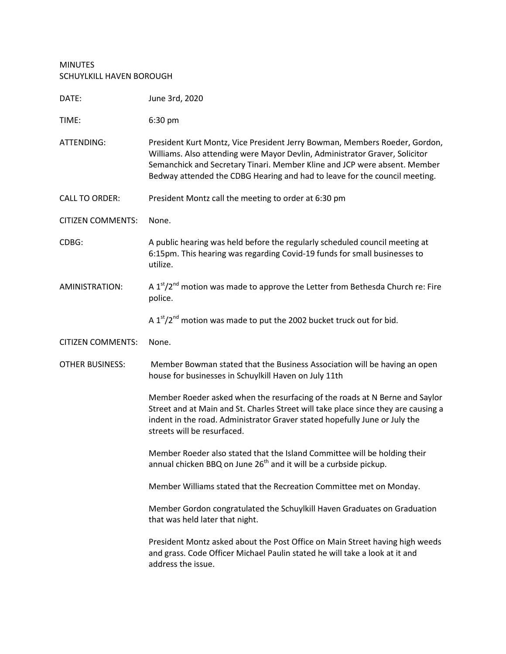MINUTES SCHUYLKILL HAVEN BOROUGH

| DATE:                    | June 3rd, 2020                                                                                                                                                                                                                                                                                                       |
|--------------------------|----------------------------------------------------------------------------------------------------------------------------------------------------------------------------------------------------------------------------------------------------------------------------------------------------------------------|
| TIME:                    | 6:30 pm                                                                                                                                                                                                                                                                                                              |
| ATTENDING:               | President Kurt Montz, Vice President Jerry Bowman, Members Roeder, Gordon,<br>Williams. Also attending were Mayor Devlin, Administrator Graver, Solicitor<br>Semanchick and Secretary Tinari. Member Kline and JCP were absent. Member<br>Bedway attended the CDBG Hearing and had to leave for the council meeting. |
| <b>CALL TO ORDER:</b>    | President Montz call the meeting to order at 6:30 pm                                                                                                                                                                                                                                                                 |
| <b>CITIZEN COMMENTS:</b> | None.                                                                                                                                                                                                                                                                                                                |
| CDBG:                    | A public hearing was held before the regularly scheduled council meeting at<br>6:15pm. This hearing was regarding Covid-19 funds for small businesses to<br>utilize.                                                                                                                                                 |
| AMINISTRATION:           | A 1st/2 <sup>nd</sup> motion was made to approve the Letter from Bethesda Church re: Fire<br>police.                                                                                                                                                                                                                 |
|                          | A 1st/2 <sup>nd</sup> motion was made to put the 2002 bucket truck out for bid.                                                                                                                                                                                                                                      |
| <b>CITIZEN COMMENTS:</b> | None.                                                                                                                                                                                                                                                                                                                |
| <b>OTHER BUSINESS:</b>   | Member Bowman stated that the Business Association will be having an open<br>house for businesses in Schuylkill Haven on July 11th                                                                                                                                                                                   |
|                          | Member Roeder asked when the resurfacing of the roads at N Berne and Saylor<br>Street and at Main and St. Charles Street will take place since they are causing a<br>indent in the road. Administrator Graver stated hopefully June or July the<br>streets will be resurfaced.                                       |
|                          | Member Roeder also stated that the Island Committee will be holding their<br>annual chicken BBQ on June 26 <sup>th</sup> and it will be a curbside pickup.                                                                                                                                                           |
|                          | Member Williams stated that the Recreation Committee met on Monday.                                                                                                                                                                                                                                                  |
|                          | Member Gordon congratulated the Schuylkill Haven Graduates on Graduation<br>that was held later that night.                                                                                                                                                                                                          |
|                          | President Montz asked about the Post Office on Main Street having high weeds<br>and grass. Code Officer Michael Paulin stated he will take a look at it and<br>address the issue.                                                                                                                                    |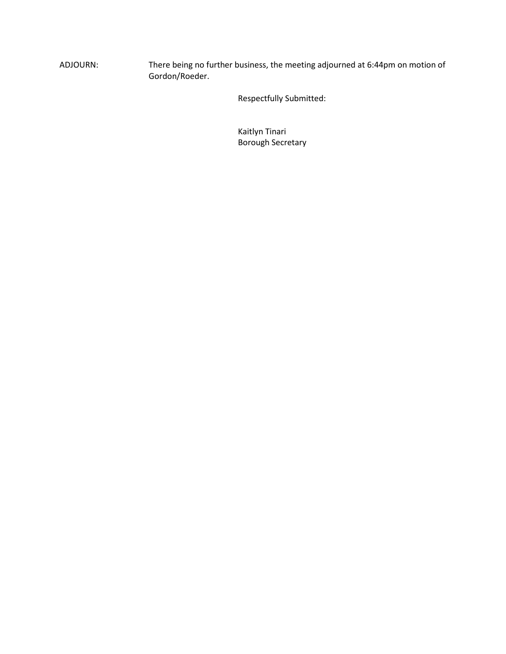ADJOURN: There being no further business, the meeting adjourned at 6:44pm on motion of Gordon/Roeder.

Respectfully Submitted:

Kaitlyn Tinari Borough Secretary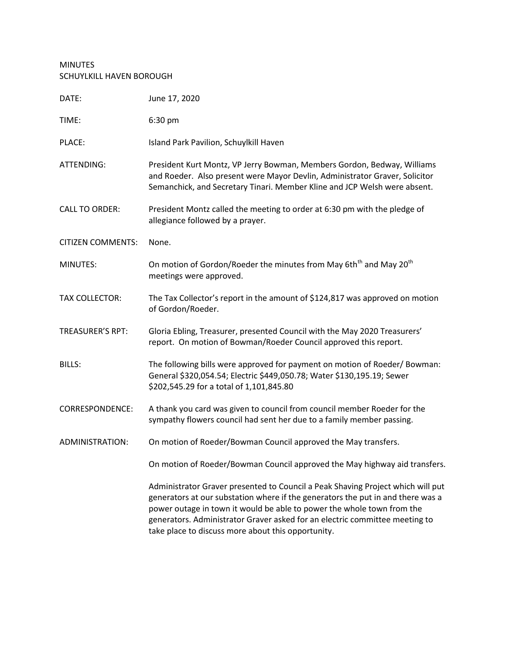## MINUTES SCHUYLKILL HAVEN BOROUGH

| DATE:                    | June 17, 2020                                                                                                                                                                                                                                                                                                                                                                     |
|--------------------------|-----------------------------------------------------------------------------------------------------------------------------------------------------------------------------------------------------------------------------------------------------------------------------------------------------------------------------------------------------------------------------------|
| TIME:                    | 6:30 pm                                                                                                                                                                                                                                                                                                                                                                           |
| PLACE:                   | Island Park Pavilion, Schuylkill Haven                                                                                                                                                                                                                                                                                                                                            |
| ATTENDING:               | President Kurt Montz, VP Jerry Bowman, Members Gordon, Bedway, Williams<br>and Roeder. Also present were Mayor Devlin, Administrator Graver, Solicitor<br>Semanchick, and Secretary Tinari. Member Kline and JCP Welsh were absent.                                                                                                                                               |
| <b>CALL TO ORDER:</b>    | President Montz called the meeting to order at 6:30 pm with the pledge of<br>allegiance followed by a prayer.                                                                                                                                                                                                                                                                     |
| <b>CITIZEN COMMENTS:</b> | None.                                                                                                                                                                                                                                                                                                                                                                             |
| MINUTES:                 | On motion of Gordon/Roeder the minutes from May 6th <sup>th</sup> and May 20 <sup>th</sup><br>meetings were approved.                                                                                                                                                                                                                                                             |
| <b>TAX COLLECTOR:</b>    | The Tax Collector's report in the amount of \$124,817 was approved on motion<br>of Gordon/Roeder.                                                                                                                                                                                                                                                                                 |
| <b>TREASURER'S RPT:</b>  | Gloria Ebling, Treasurer, presented Council with the May 2020 Treasurers'<br>report. On motion of Bowman/Roeder Council approved this report.                                                                                                                                                                                                                                     |
| <b>BILLS:</b>            | The following bills were approved for payment on motion of Roeder/Bowman:<br>General \$320,054.54; Electric \$449,050.78; Water \$130,195.19; Sewer<br>\$202,545.29 for a total of 1,101,845.80                                                                                                                                                                                   |
| <b>CORRESPONDENCE:</b>   | A thank you card was given to council from council member Roeder for the<br>sympathy flowers council had sent her due to a family member passing.                                                                                                                                                                                                                                 |
| ADMINISTRATION:          | On motion of Roeder/Bowman Council approved the May transfers.                                                                                                                                                                                                                                                                                                                    |
|                          | On motion of Roeder/Bowman Council approved the May highway aid transfers.                                                                                                                                                                                                                                                                                                        |
|                          | Administrator Graver presented to Council a Peak Shaving Project which will put<br>generators at our substation where if the generators the put in and there was a<br>power outage in town it would be able to power the whole town from the<br>generators. Administrator Graver asked for an electric committee meeting to<br>take place to discuss more about this opportunity. |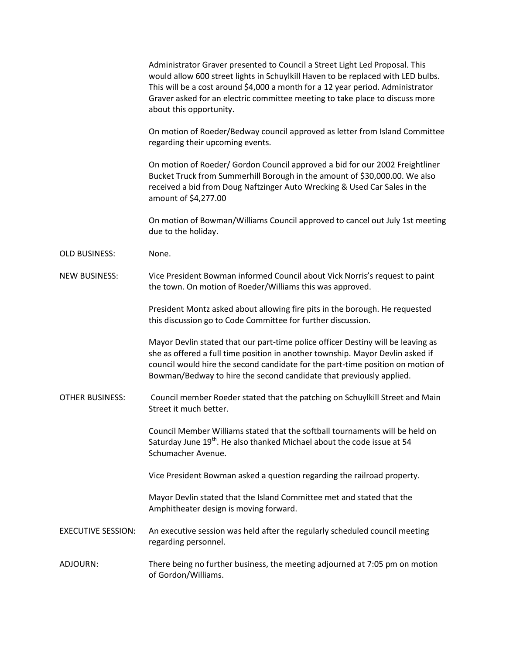Administrator Graver presented to Council a Street Light Led Proposal. This would allow 600 street lights in Schuylkill Haven to be replaced with LED bulbs. This will be a cost around \$4,000 a month for a 12 year period. Administrator Graver asked for an electric committee meeting to take place to discuss more about this opportunity.

On motion of Roeder/Bedway council approved as letter from Island Committee regarding their upcoming events.

On motion of Roeder/ Gordon Council approved a bid for our 2002 Freightliner Bucket Truck from Summerhill Borough in the amount of \$30,000.00. We also received a bid from Doug Naftzinger Auto Wrecking & Used Car Sales in the amount of \$4,277.00

On motion of Bowman/Williams Council approved to cancel out July 1st meeting due to the holiday.

OLD BUSINESS: None.

NEW BUSINESS: Vice President Bowman informed Council about Vick Norris's request to paint the town. On motion of Roeder/Williams this was approved.

> President Montz asked about allowing fire pits in the borough. He requested this discussion go to Code Committee for further discussion.

Mayor Devlin stated that our part-time police officer Destiny will be leaving as she as offered a full time position in another township. Mayor Devlin asked if council would hire the second candidate for the part-time position on motion of Bowman/Bedway to hire the second candidate that previously applied.

OTHER BUSINESS: Council member Roeder stated that the patching on Schuylkill Street and Main Street it much better.

> Council Member Williams stated that the softball tournaments will be held on Saturday June 19<sup>th</sup>. He also thanked Michael about the code issue at 54 Schumacher Avenue.

Vice President Bowman asked a question regarding the railroad property.

Mayor Devlin stated that the Island Committee met and stated that the Amphitheater design is moving forward.

EXECUTIVE SESSION: An executive session was held after the regularly scheduled council meeting regarding personnel.

ADJOURN: There being no further business, the meeting adjourned at 7:05 pm on motion of Gordon/Williams.